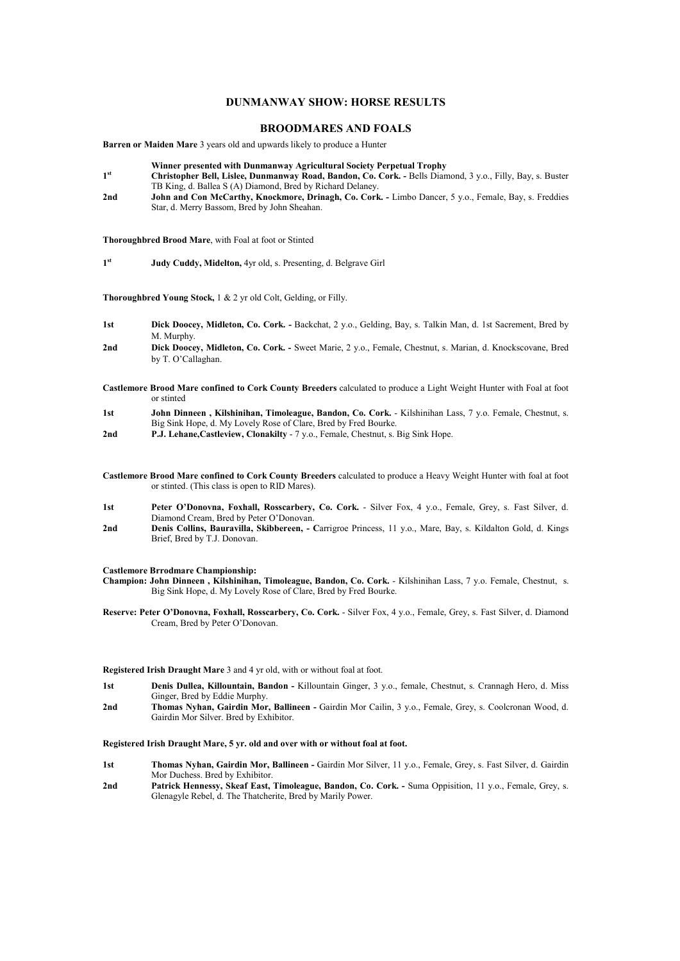# **DUNMANWAY SHOW: HORSE RESULTS**

# **BROODMARES AND FOALS**

**Barren or Maiden Mare** 3 years old and upwards likely to produce a Hunter

- **Winner presented with Dunmanway Agricultural Society Perpetual Trophy**
- **1 st Christopher Bell, Lislee, Dunmanway Road, Bandon, Co. Cork. -** Bells Diamond, 3 y.o., Filly, Bay, s. Buster TB King, d. Ballea S (A) Diamond, Bred by Richard Delaney.
- 2nd John and Con McCarthy, Knockmore, Drinagh, Co. Cork. Limbo Dancer, 5 y.o., Female, Bay, s. Freddies Star, d. Merry Bassom, Bred by John Sheahan.

**Thoroughbred Brood Mare**, with Foal at foot or Stinted

**1 st Judy Cuddy, Midelton,** 4yr old, s. Presenting, d. Belgrave Girl

**Thoroughbred Young Stock,** 1 & 2 yr old Colt, Gelding, or Filly.

- **1st Dick Doocey, Midleton, Co. Cork.** Backchat, 2 y.o., Gelding, Bay, s. Talkin Man, d. 1st Sacrement, Bred by M. Murphy.
- **2nd Dick Doocey, Midleton, Co. Cork.** Sweet Marie, 2 y.o., Female, Chestnut, s. Marian, d. Knockscovane, Bred by T. O'Callaghan.
- **Castlemore Brood Mare confined to Cork County Breeders** calculated to produce a Light Weight Hunter with Foal at foot or stinted
- **1st John Dinneen , Kilshinihan, Timoleague, Bandon, Co. Cork.** Kilshinihan Lass, 7 y.o. Female, Chestnut, s. Big Sink Hope, d. My Lovely Rose of Clare, Bred by Fred Bourke.
- **2nd P.J. Lehane,Castleview, Clonakilty** 7 y.o., Female, Chestnut, s. Big Sink Hope.
- **Castlemore Brood Mare confined to Cork County Breeders** calculated to produce a Heavy Weight Hunter with foal at foot or stinted. (This class is open to RID Mares).
- **1st Peter O'Donovna, Foxhall, Rosscarbery, Co. Cork.**  Silver Fox, 4 y.o., Female, Grey, s. Fast Silver, d. Diamond Cream, Bred by Peter O'Donovan.
- **2nd Denis Collins, Bauravilla, Skibbereen, C**arrigroe Princess, 11 y.o., Mare, Bay, s. Kildalton Gold, d. Kings Brief, Bred by T.J. Donovan.

# **Castlemore Brrodmare Championship:**

- **Champion: John Dinneen , Kilshinihan, Timoleague, Bandon, Co. Cork.** Kilshinihan Lass, 7 y.o. Female, Chestnut, s. Big Sink Hope, d. My Lovely Rose of Clare, Bred by Fred Bourke.
- **Reserve: Peter O'Donovna, Foxhall, Rosscarbery, Co. Cork.**  Silver Fox, 4 y.o., Female, Grey, s. Fast Silver, d. Diamond Cream, Bred by Peter O'Donovan.

#### **Registered Irish Draught Mare** 3 and 4 yr old, with or without foal at foot.

- **1st Denis Dullea, Killountain, Bandon** Killountain Ginger, 3 y.o., female, Chestnut, s. Crannagh Hero, d. Miss Ginger, Bred by Eddie Murphy.
- **2nd Thomas Nyhan, Gairdin Mor, Ballineen -** Gairdin Mor Cailin, 3 y.o., Female, Grey, s. Coolcronan Wood, d. Gairdin Mor Silver. Bred by Exhibitor.

#### **Registered Irish Draught Mare, 5 yr. old and over with or without foal at foot.**

- **1st Thomas Nyhan, Gairdin Mor, Ballineen -** Gairdin Mor Silver, 11 y.o., Female, Grey, s. Fast Silver, d. Gairdin Mor Duchess. Bred by Exhibitor.
- **2nd Patrick Hennessy, Skeaf East, Timoleague, Bandon, Co. Cork. -** Suma Oppisition, 11 y.o., Female, Grey, s. Glenagyle Rebel, d. The Thatcherite, Bred by Marily Power.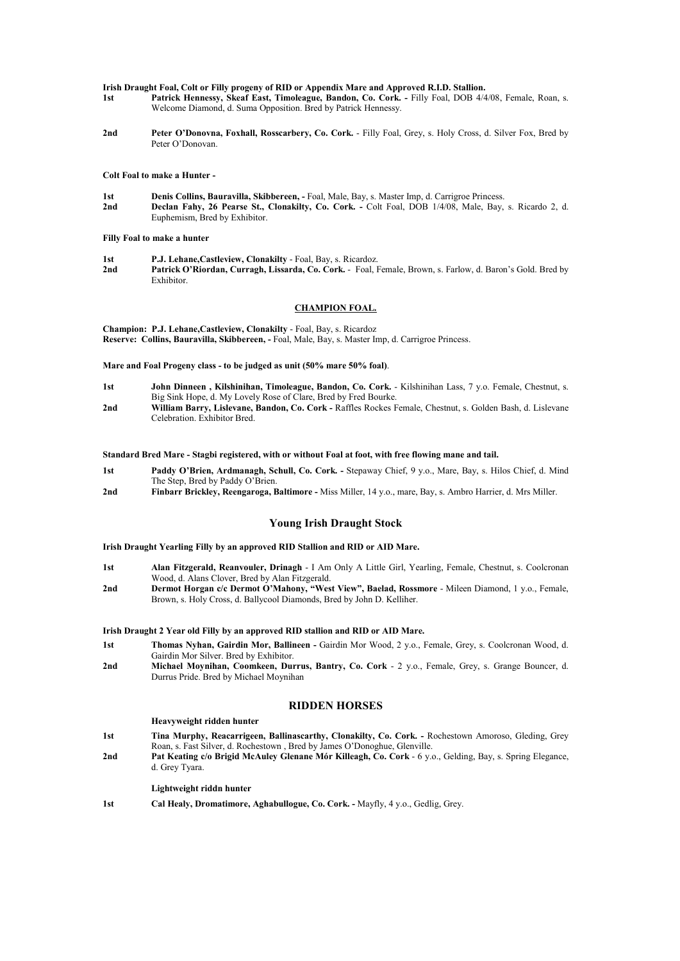#### **Irish Draught Foal, Colt or Filly progeny of RID or Appendix Mare and Approved R.I.D. Stallion.**

- **1st Patrick Hennessy, Skeaf East, Timoleague, Bandon, Co. Cork. -** Filly Foal, DOB 4/4/08, Female, Roan, s. Welcome Diamond, d. Suma Opposition. Bred by Patrick Hennessy.
- 2nd Peter O'Donovna, Foxhall, Rosscarbery, Co. Cork. Filly Foal, Grey, s. Holy Cross, d. Silver Fox, Bred by Peter O'Donovan.

**Colt Foal to make a Hunter -** 

**1st Denis Collins, Bauravilla, Skibbereen, -** Foal, Male, Bay, s. Master Imp, d. Carrigroe Princess. **2nd Declan Fahy, 26 Pearse St., Clonakilty, Co. Cork. -** Colt Foal, DOB 1/4/08, Male, Bay, s. Ricardo 2, d. Euphemism, Bred by Exhibitor.

**Filly Foal to make a hunter** 

**1st P.J. Lehane,Castleview, Clonakilty** - Foal, Bay, s. Ricardoz.

**2nd Patrick O'Riordan, Curragh, Lissarda, Co. Cork.** - Foal, Female, Brown, s. Farlow, d. Baron's Gold. Bred by Exhibitor.

# **CHAMPION FOAL.**

**Champion: P.J. Lehane,Castleview, Clonakilty** - Foal, Bay, s. Ricardoz **Reserve: Collins, Bauravilla, Skibbereen, -** Foal, Male, Bay, s. Master Imp, d. Carrigroe Princess.

**Mare and Foal Progeny class - to be judged as unit (50% mare 50% foal)**.

- **1st John Dinneen , Kilshinihan, Timoleague, Bandon, Co. Cork.** Kilshinihan Lass, 7 y.o. Female, Chestnut, s. Big Sink Hope, d. My Lovely Rose of Clare, Bred by Fred Bourke.
- **2nd William Barry, Lislevane, Bandon, Co. Cork -** Raffles Rockes Female, Chestnut, s. Golden Bash, d. Lislevane Celebration. Exhibitor Bred.

# **Standard Bred Mare - Stagbi registered, with or without Foal at foot, with free flowing mane and tail.**

- **1st Paddy O'Brien, Ardmanagh, Schull, Co. Cork. -** Stepaway Chief, 9 y.o., Mare, Bay, s. Hilos Chief, d. Mind The Step, Bred by Paddy O'Brien.
- **2nd Finbarr Brickley, Reengaroga, Baltimore -** Miss Miller, 14 y.o., mare, Bay, s. Ambro Harrier, d. Mrs Miller.

# **Young Irish Draught Stock**

## **Irish Draught Yearling Filly by an approved RID Stallion and RID or AID Mare.**

- **1st Alan Fitzgerald, Reanvouler, Drinagh**  I Am Only A Little Girl, Yearling, Female, Chestnut, s. Coolcronan Wood, d. Alans Clover, Bred by Alan Fitzgerald.
- **2nd Dermot Horgan c/c Dermot O'Mahony, "West View", Baelad, Rossmore**  Mileen Diamond, 1 y.o., Female, Brown, s. Holy Cross, d. Ballycool Diamonds, Bred by John D. Kelliher.

# **Irish Draught 2 Year old Filly by an approved RID stallion and RID or AID Mare.**

- **1st Thomas Nyhan, Gairdin Mor, Ballineen -** Gairdin Mor Wood, 2 y.o., Female, Grey, s. Coolcronan Wood, d. Gairdin Mor Silver. Bred by Exhibitor.
- **2nd Michael Moynihan, Coomkeen, Durrus, Bantry, Co. Cork** 2 y.o., Female, Grey, s. Grange Bouncer, d. Durrus Pride. Bred by Michael Moynihan

# **RIDDEN HORSES**

#### **Heavyweight ridden hunter**

- **1st Tina Murphy, Reacarrigeen, Ballinascarthy, Clonakilty, Co. Cork. -** Rochestown Amoroso, Gleding, Grey Roan, s. Fast Silver, d. Rochestown , Bred by James O'Donoghue, Glenville.
- **2nd Pat Keating c/o Brigid McAuley Glenane Mór Killeagh, Co. Cork**  6 y.o., Gelding, Bay, s. Spring Elegance, d. Grey Tyara.

# **Lightweight riddn hunter**

**1st Cal Healy, Dromatimore, Aghabullogue, Co. Cork. -** Mayfly, 4 y.o., Gedlig, Grey.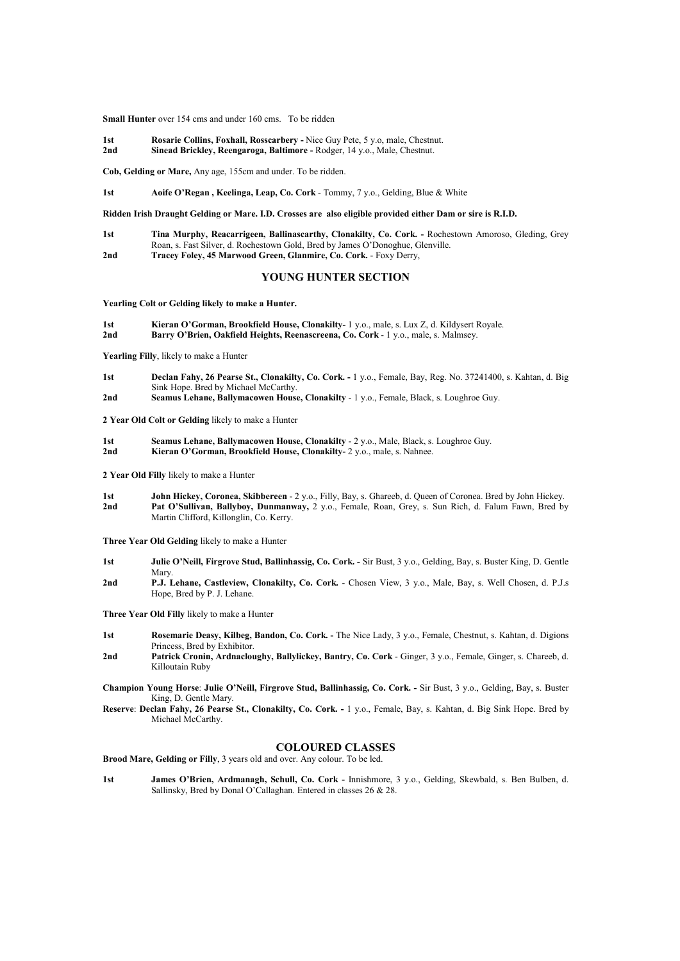**Small Hunter** over 154 cms and under 160 cms. To be ridden

**1st Rosarie Collins, Foxhall, Rosscarbery -** Nice Guy Pete, 5 y.o, male, Chestnut. **2nd Sinead Brickley, Reengaroga, Baltimore -** Rodger, 14 y.o., Male, Chestnut.

**Cob, Gelding or Mare,** Any age, 155cm and under. To be ridden.

**1st Aoife O'Regan , Keelinga, Leap, Co. Cork** - Tommy, 7 y.o., Gelding, Blue & White

#### **Ridden Irish Draught Gelding or Mare. I.D. Crosses are also eligible provided either Dam or sire is R.I.D.**

- **1st Tina Murphy, Reacarrigeen, Ballinascarthy, Clonakilty, Co. Cork. -** Rochestown Amoroso, Gleding, Grey Roan, s. Fast Silver, d. Rochestown Gold, Bred by James O'Donoghue, Glenville. **2nd Tracey Foley, 45 Marwood Green, Glanmire, Co. Cork.** - Foxy Derry,
	-

# **YOUNG HUNTER SECTION**

**Yearling Colt or Gelding likely to make a Hunter.**

**1st Kieran O'Gorman, Brookfield House, Clonakilty-** 1 y.o., male, s. Lux Z, d. Kildysert Royale. **2nd Barry O'Brien, Oakfield Heights, Reenascreena, Co. Cork** - 1 y.o., male, s. Malmsey.

**Yearling Filly**, likely to make a Hunter

- **1st Declan Fahy, 26 Pearse St., Clonakilty, Co. Cork. -** 1 y.o., Female, Bay, Reg. No. 37241400, s. Kahtan, d. Big Sink Hope. Bred by Michael McCarthy.
- **2nd Seamus Lehane, Ballymacowen House, Clonakilty** 1 y.o., Female, Black, s. Loughroe Guy.
- **2 Year Old Colt or Gelding** likely to make a Hunter
- **1st Seamus Lehane, Ballymacowen House, Clonakilty** 2 y.o., Male, Black, s. Loughroe Guy. **2nd Kieran O'Gorman, Brookfield House, Clonakilty-** 2 y.o., male, s. Nahnee.
- **2 Year Old Filly** likely to make a Hunter
- **1st John Hickey, Coronea, Skibbereen** 2 y.o., Filly, Bay, s. Ghareeb, d. Queen of Coronea. Bred by John Hickey. **2nd Pat O'Sullivan, Ballyboy, Dunmanway,** 2 y.o., Female, Roan, Grey, s. Sun Rich, d. Falum Fawn, Bred by Martin Clifford, Killonglin, Co. Kerry.

**Three Year Old Gelding** likely to make a Hunter

- **1st Julie O'Neill, Firgrove Stud, Ballinhassig, Co. Cork. -** Sir Bust, 3 y.o., Gelding, Bay, s. Buster King, D. Gentle Mary.
- **2nd P.J. Lehane, Castleview, Clonakilty, Co. Cork.** Chosen View, 3 y.o., Male, Bay, s. Well Chosen, d. P.J.s Hope, Bred by P. J. Lehane.

**Three Year Old Filly** likely to make a Hunter

- **1st Rosemarie Deasy, Kilbeg, Bandon, Co. Cork.** The Nice Lady, 3 y.o., Female, Chestnut, s. Kahtan, d. Digions Princess, Bred by Exhibitor.
- **2nd Patrick Cronin, Ardnacloughy, Ballylickey, Bantry, Co. Cork**  Ginger, 3 y.o., Female, Ginger, s. Chareeb, d. Killoutain Ruby
- **Champion Young Horse**: **Julie O'Neill, Firgrove Stud, Ballinhassig, Co. Cork. -** Sir Bust, 3 y.o., Gelding, Bay, s. Buster King, D. Gentle Mary.
- **Reserve**: **Declan Fahy, 26 Pearse St., Clonakilty, Co. Cork. -** 1 y.o., Female, Bay, s. Kahtan, d. Big Sink Hope. Bred by Michael McCarthy.

# **COLOURED CLASSES**

**Brood Mare, Gelding or Filly**, 3 years old and over. Any colour. To be led.

**1st James O'Brien, Ardmanagh, Schull, Co. Cork -** Innishmore, 3 y.o., Gelding, Skewbald, s. Ben Bulben, d. Sallinsky, Bred by Donal O'Callaghan. Entered in classes 26 & 28.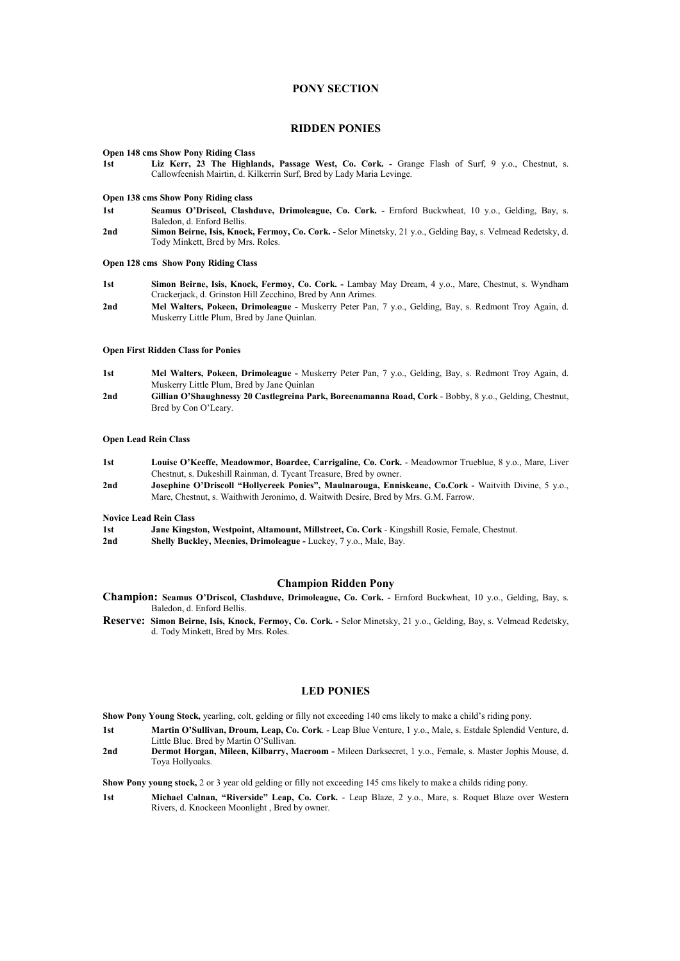# **PONY SECTION**

# **RIDDEN PONIES**

#### **Open 148 cms Show Pony Riding Class**

**1st Liz Kerr, 23 The Highlands, Passage West, Co. Cork. -** Grange Flash of Surf, 9 y.o., Chestnut, s. Callowfeenish Mairtin, d. Kilkerrin Surf, Bred by Lady Maria Levinge.

## **Open 138 cms Show Pony Riding class**

- **1st Seamus O'Driscol, Clashduve, Drimoleague, Co. Cork.** Ernford Buckwheat, 10 y.o., Gelding, Bay, s. Baledon, d. Enford Bellis.
- **2nd Simon Beirne, Isis, Knock, Fermoy, Co. Cork.** Selor Minetsky, 21 y.o., Gelding Bay, s. Velmead Redetsky, d. Tody Minkett, Bred by Mrs. Roles.

## **Open 128 cms Show Pony Riding Class**

- **1st Simon Beirne, Isis, Knock, Fermoy, Co. Cork.** Lambay May Dream, 4 y.o., Mare, Chestnut, s. Wyndham Crackerjack, d. Grinston Hill Zecchino, Bred by Ann Arimes.
- **2nd Mel Walters, Pokeen, Drimoleague -** Muskerry Peter Pan, 7 y.o., Gelding, Bay, s. Redmont Troy Again, d. Muskerry Little Plum, Bred by Jane Quinlan.

# **Open First Ridden Class for Ponies**

- **1st Mel Walters, Pokeen, Drimoleague -** Muskerry Peter Pan, 7 y.o., Gelding, Bay, s. Redmont Troy Again, d. Muskerry Little Plum, Bred by Jane Quinlan
- **2nd Gillian O'Shaughnessy 20 Castlegreina Park, Boreenamanna Road, Cork** Bobby, 8 y.o., Gelding, Chestnut, Bred by Con O'Leary.

## **Open Lead Rein Class**

- **1st Louise O'Keeffe, Meadowmor, Boardee, Carrigaline, Co. Cork.**  Meadowmor Trueblue, 8 y.o., Mare, Liver Chestnut, s. Dukeshill Rainman, d. Tycant Treasure, Bred by owner.
- **2nd Josephine O'Driscoll "Hollycreek Ponies", Maulnarouga, Enniskeane, Co.Cork** Waitvith Divine, 5 y.o., Mare, Chestnut, s. Waithwith Jeronimo, d. Waitwith Desire, Bred by Mrs. G.M. Farrow.

**Novice Lead Rein Class** 

- **1st Jane Kingston, Westpoint, Altamount, Millstreet, Co. Cork** Kingshill Rosie, Female, Chestnut.
- **2nd Shelly Buckley, Meenies, Drimoleague** Luckey, 7 y.o., Male, Bay.

# **Champion Ridden Pony**

- **Champion: Seamus O'Driscol, Clashduve, Drimoleague, Co. Cork.** Ernford Buckwheat, 10 y.o., Gelding, Bay, s. Baledon, d. Enford Bellis.
- **Reserve: Simon Beirne, Isis, Knock, Fermoy, Co. Cork.** Selor Minetsky, 21 y.o., Gelding, Bay, s. Velmead Redetsky, d. Tody Minkett, Bred by Mrs. Roles.

### **LED PONIES**

- **Show Pony Young Stock,** yearling, colt, gelding or filly not exceeding 140 cms likely to make a child's riding pony.
- **1st Martin O'Sullivan, Droum, Leap, Co. Cork**. Leap Blue Venture, 1 y.o., Male, s. Estdale Splendid Venture, d. Little Blue. Bred by Martin O'Sullivan.
- **2nd Dermot Horgan, Mileen, Kilbarry, Macroom** Mileen Darksecret, 1 y.o., Female, s. Master Jophis Mouse, d. Toya Hollyoaks.
- **Show Pony young stock,** 2 or 3 year old gelding or filly not exceeding 145 cms likely to make a childs riding pony.
- **1st Michael Calnan, "Riverside" Leap, Co. Cork.**  Leap Blaze, 2 y.o., Mare, s. Roquet Blaze over Western Rivers, d. Knockeen Moonlight , Bred by owner.